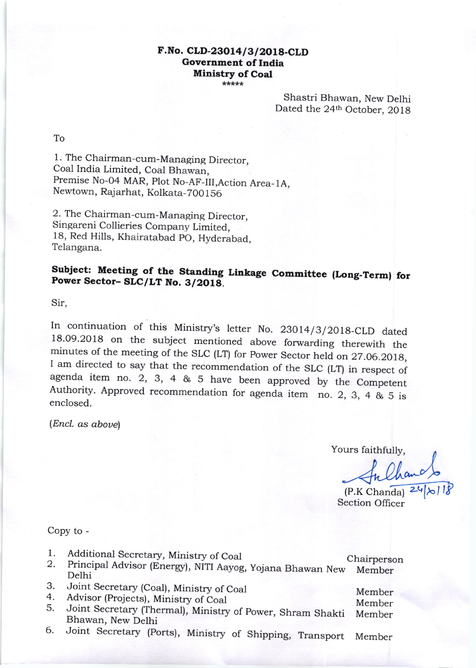## F.No. CLD-23014/3/2018-CLD Government of India Ministry of Coal

Shastri Bhawan, New Delhi Dated the 24<sup>th</sup> October, 2018

To

l. The Chairman-cum-Managing Director, Coal India Limited, Coal Bhawan Premise No-04 MAR, plot No-AF-lII,Action Area\_lA, Newtown, Rajarhat, Kolkata-70O 1 56

2. The Chairman-cum-Managing Director, Singareni Collieries Company Limited, 18, Red Hills, Khairatabad pO, Hyderabad, Telangana.

## Subject: Meeting of the Standing Linkage Committee (Long-Term) for Power Sector- SLC/LT No. 3/2018.

Sir,

In continuation of this Ministry's letter No. 23014/3/2018-CLD dated 18.09.2018 on the subject mentioned above forwarding therewith the minutes of the meeting of the SLC (LT) for Power Sector held on 27.06.2018, I am dire

(Encl. as aboue)

Yours faithfully,

In Chan<br>P.K Chanda) 2

Section Officer

Member

## Copy to -

- 1.
- 2. Additional Secretary, Ministry of Coal Chairperson Principal Advisor (Energr), NITI Aayog, yojana Bhawan New Member Delhi
- J. Joint Secretary (Coal), Ministry of Coal
- 4. Advisor (Projects), Ministry of Coal
- Member Member 5. Joint Secretary fihermal), Ministry of power, Shram Shakti Bhawan, New Delhi
- 6. Joint Secretary (ports), Ministry of Shipping, Transport Member